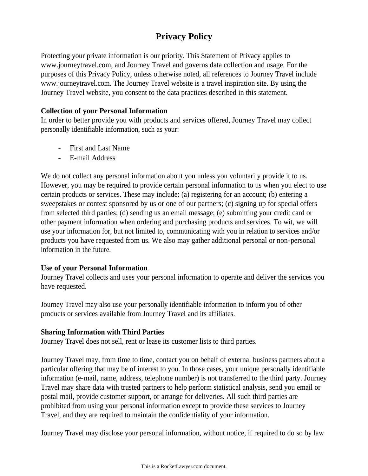# **Privacy Policy**

Protecting your private information is our priority. This Statement of Privacy applies to www.journeytravel.com, and Journey Travel and governs data collection and usage. For the purposes of this Privacy Policy, unless otherwise noted, all references to Journey Travel include www.journeytravel.com. The Journey Travel website is a travel inspiration site. By using the Journey Travel website, you consent to the data practices described in this statement.

## **Collection of your Personal Information**

In order to better provide you with products and services offered, Journey Travel may collect personally identifiable information, such as your:

- First and Last Name
- E-mail Address

We do not collect any personal information about you unless you voluntarily provide it to us. However, you may be required to provide certain personal information to us when you elect to use certain products or services. These may include: (a) registering for an account; (b) entering a sweepstakes or contest sponsored by us or one of our partners; (c) signing up for special offers from selected third parties; (d) sending us an email message; (e) submitting your credit card or other payment information when ordering and purchasing products and services. To wit, we will use your information for, but not limited to, communicating with you in relation to services and/or products you have requested from us. We also may gather additional personal or non-personal information in the future.

# **Use of your Personal Information**

Journey Travel collects and uses your personal information to operate and deliver the services you have requested.

Journey Travel may also use your personally identifiable information to inform you of other products or services available from Journey Travel and its affiliates.

# **Sharing Information with Third Parties**

Journey Travel does not sell, rent or lease its customer lists to third parties.

Journey Travel may, from time to time, contact you on behalf of external business partners about a particular offering that may be of interest to you. In those cases, your unique personally identifiable information (e-mail, name, address, telephone number) is not transferred to the third party. Journey Travel may share data with trusted partners to help perform statistical analysis, send you email or postal mail, provide customer support, or arrange for deliveries. All such third parties are prohibited from using your personal information except to provide these services to Journey Travel, and they are required to maintain the confidentiality of your information.

Journey Travel may disclose your personal information, without notice, if required to do so by law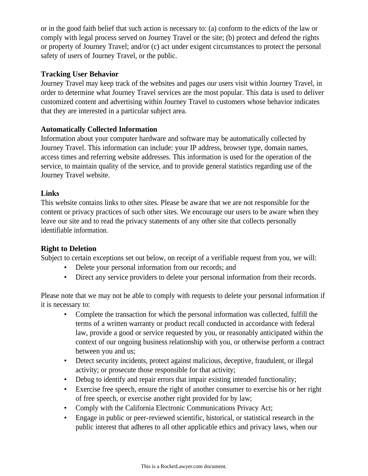or in the good faith belief that such action is necessary to: (a) conform to the edicts of the law or comply with legal process served on Journey Travel or the site; (b) protect and defend the rights or property of Journey Travel; and/or (c) act under exigent circumstances to protect the personal safety of users of Journey Travel, or the public.

# **Tracking User Behavior**

Journey Travel may keep track of the websites and pages our users visit within Journey Travel, in order to determine what Journey Travel services are the most popular. This data is used to deliver customized content and advertising within Journey Travel to customers whose behavior indicates that they are interested in a particular subject area.

# **Automatically Collected Information**

Information about your computer hardware and software may be automatically collected by Journey Travel. This information can include: your IP address, browser type, domain names, access times and referring website addresses. This information is used for the operation of the service, to maintain quality of the service, and to provide general statistics regarding use of the Journey Travel website.

# **Links**

This website contains links to other sites. Please be aware that we are not responsible for the content or privacy practices of such other sites. We encourage our users to be aware when they leave our site and to read the privacy statements of any other site that collects personally identifiable information.

# **Right to Deletion**

Subject to certain exceptions set out below, on receipt of a verifiable request from you, we will:

- Delete your personal information from our records; and
- Direct any service providers to delete your personal information from their records.

Please note that we may not be able to comply with requests to delete your personal information if it is necessary to:

- Complete the transaction for which the personal information was collected, fulfill the terms of a written warranty or product recall conducted in accordance with federal law, provide a good or service requested by you, or reasonably anticipated within the context of our ongoing business relationship with you, or otherwise perform a contract between you and us;
- Detect security incidents, protect against malicious, deceptive, fraudulent, or illegal activity; or prosecute those responsible for that activity;
- Debug to identify and repair errors that impair existing intended functionality;
- Exercise free speech, ensure the right of another consumer to exercise his or her right of free speech, or exercise another right provided for by law;
- Comply with the California Electronic Communications Privacy Act;
- Engage in public or peer-reviewed scientific, historical, or statistical research in the public interest that adheres to all other applicable ethics and privacy laws, when our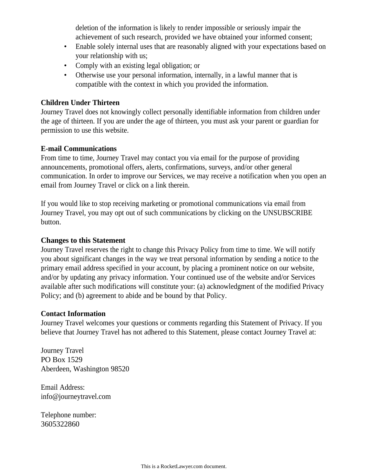deletion of the information is likely to render impossible or seriously impair the achievement of such research, provided we have obtained your informed consent;

- Enable solely internal uses that are reasonably aligned with your expectations based on your relationship with us;
- Comply with an existing legal obligation; or
- Otherwise use your personal information, internally, in a lawful manner that is compatible with the context in which you provided the information.

## **Children Under Thirteen**

Journey Travel does not knowingly collect personally identifiable information from children under the age of thirteen. If you are under the age of thirteen, you must ask your parent or guardian for permission to use this website.

#### **E-mail Communications**

From time to time, Journey Travel may contact you via email for the purpose of providing announcements, promotional offers, alerts, confirmations, surveys, and/or other general communication. In order to improve our Services, we may receive a notification when you open an email from Journey Travel or click on a link therein.

If you would like to stop receiving marketing or promotional communications via email from Journey Travel, you may opt out of such communications by clicking on the UNSUBSCRIBE button.

#### **Changes to this Statement**

Journey Travel reserves the right to change this Privacy Policy from time to time. We will notify you about significant changes in the way we treat personal information by sending a notice to the primary email address specified in your account, by placing a prominent notice on our website, and/or by updating any privacy information. Your continued use of the website and/or Services available after such modifications will constitute your: (a) acknowledgment of the modified Privacy Policy; and (b) agreement to abide and be bound by that Policy.

#### **Contact Information**

Journey Travel welcomes your questions or comments regarding this Statement of Privacy. If you believe that Journey Travel has not adhered to this Statement, please contact Journey Travel at:

Journey Travel PO Box 1529 Aberdeen, Washington 98520

Email Address: info@journeytravel.com

Telephone number: 3605322860